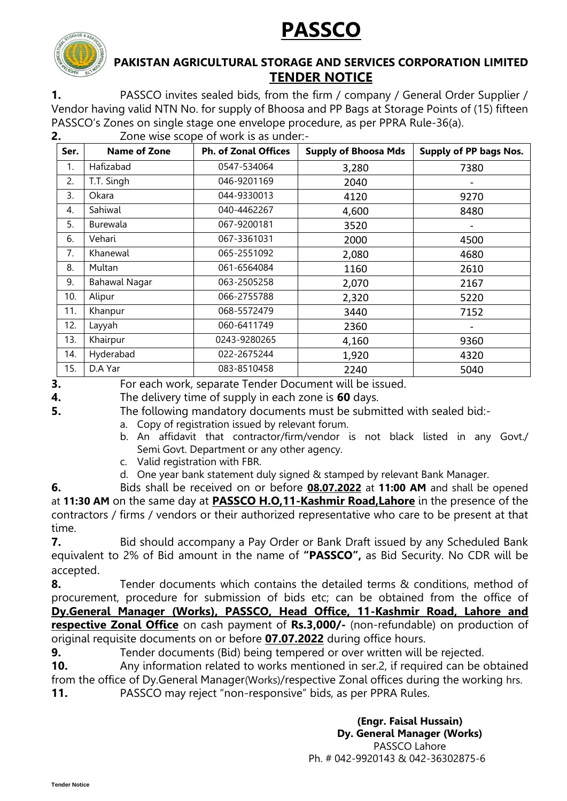**PASSCO**



# **PAKISTAN AGRICULTURAL STORAGE AND SERVICES CORPORATION LIMITED TENDER NOTICE**

**1.** PASSCO invites sealed bids, from the firm / company / General Order Supplier / Vendor having valid NTN No. for supply of Bhoosa and PP Bags at Storage Points of (15) fifteen PASSCO's Zones on single stage one envelope procedure, as per PPRA Rule-36(a).

| Ser. | <b>Name of Zone</b>  | <b>Ph. of Zonal Offices</b> | <b>Supply of Bhoosa Mds</b> | <b>Supply of PP bags Nos.</b> |
|------|----------------------|-----------------------------|-----------------------------|-------------------------------|
| 1.   | Hafizabad            | 0547-534064                 | 3,280                       | 7380                          |
| 2.   | T.T. Singh           | 046-9201169                 | 2040                        |                               |
| 3.   | Okara                | 044-9330013                 | 4120                        | 9270                          |
| 4.   | Sahiwal              | 040-4462267                 | 4,600                       | 8480                          |
| 5.   | <b>Burewala</b>      | 067-9200181                 | 3520                        |                               |
| 6.   | Vehari               | 067-3361031                 | 2000                        | 4500                          |
| 7.   | Khanewal             | 065-2551092                 | 2,080                       | 4680                          |
| 8.   | Multan               | 061-6564084                 | 1160                        | 2610                          |
| 9.   | <b>Bahawal Nagar</b> | 063-2505258                 | 2,070                       | 2167                          |
| 10.  | Alipur               | 066-2755788                 | 2,320                       | 5220                          |
| 11.  | Khanpur              | 068-5572479                 | 3440                        | 7152                          |
| 12.  | Layyah               | 060-6411749                 | 2360                        |                               |
| 13.  | Khairpur             | 0243-9280265                | 4,160                       | 9360                          |
| 14.  | Hyderabad            | 022-2675244                 | 1,920                       | 4320                          |
| 15.  | D.A Yar              | 083-8510458                 | 2240                        | 5040                          |

**2.** Zone wise scope of work is as under:-

**3.** For each work, separate Tender Document will be issued.

**4.** The delivery time of supply in each zone is **60** days.

**5.** The following mandatory documents must be submitted with sealed bid:-

- a. Copy of registration issued by relevant forum.
- b. An affidavit that contractor/firm/vendor is not black listed in any Govt./ Semi Govt. Department or any other agency.
- c. Valid registration with FBR.
- d. One year bank statement duly signed & stamped by relevant Bank Manager.

**6.** Bids shall be received on or before **08.07.2022** at **11:00 AM** and shall be opened at **11:30 AM** on the same day at **PASSCO H.O,11-Kashmir Road,Lahore** in the presence of the contractors / firms / vendors or their authorized representative who care to be present at that time.

**7.** Bid should accompany a Pay Order or Bank Draft issued by any Scheduled Bank equivalent to 2% of Bid amount in the name of **"PASSCO",** as Bid Security. No CDR will be accepted.

**8.** Tender documents which contains the detailed terms & conditions, method of procurement, procedure for submission of bids etc; can be obtained from the office of **Dy.General Manager (Works), PASSCO, Head Office, 11-Kashmir Road, Lahore and respective Zonal Office** on cash payment of **Rs.3,000/-** (non-refundable) on production of original requisite documents on or before **07.07.2022** during office hours.

**9.** Tender documents (Bid) being tempered or over written will be rejected.

**10.** Any information related to works mentioned in ser.2, if required can be obtained from the office of Dy.General Manager(Works)/respective Zonal offices during the working hrs.

**11.** PASSCO may reject "non-responsive" bids, as per PPRA Rules.

**(Engr. Faisal Hussain) Dy. General Manager (Works)** PASSCO Lahore Ph. # 042-9920143 & 042-36302875-6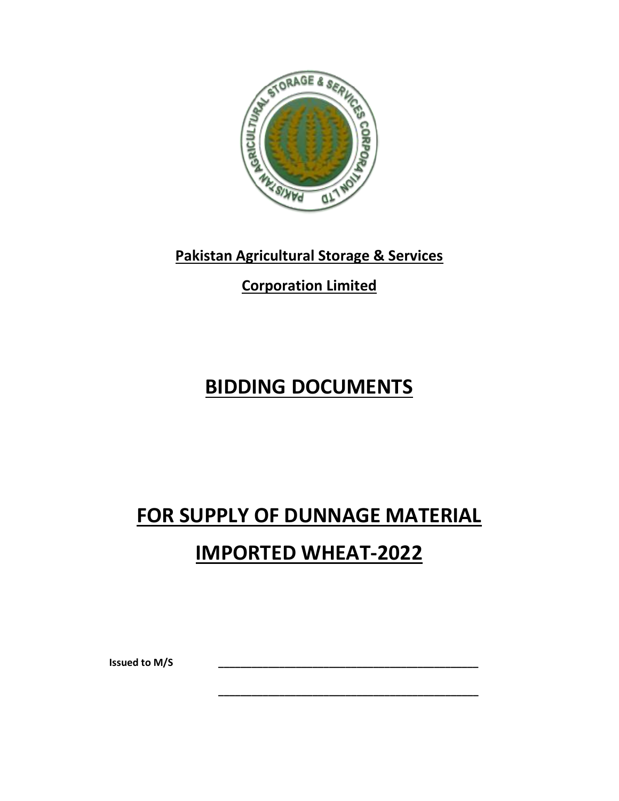

# **Pakistan Agricultural Storage & Services**

**Corporation Limited**

# **BIDDING DOCUMENTS**

# **FOR SUPPLY OF DUNNAGE MATERIAL IMPORTED WHEAT-2022**

**\_\_\_\_\_\_\_\_\_\_\_\_\_\_\_\_\_\_\_\_\_\_\_\_\_\_\_\_\_\_\_\_\_\_\_\_\_\_\_\_\_\_\_\_\_\_\_**

**Issued to M/S \_\_\_\_\_\_\_\_\_\_\_\_\_\_\_\_\_\_\_\_\_\_\_\_\_\_\_\_\_\_\_\_\_\_\_\_\_\_\_\_\_\_\_\_\_\_\_**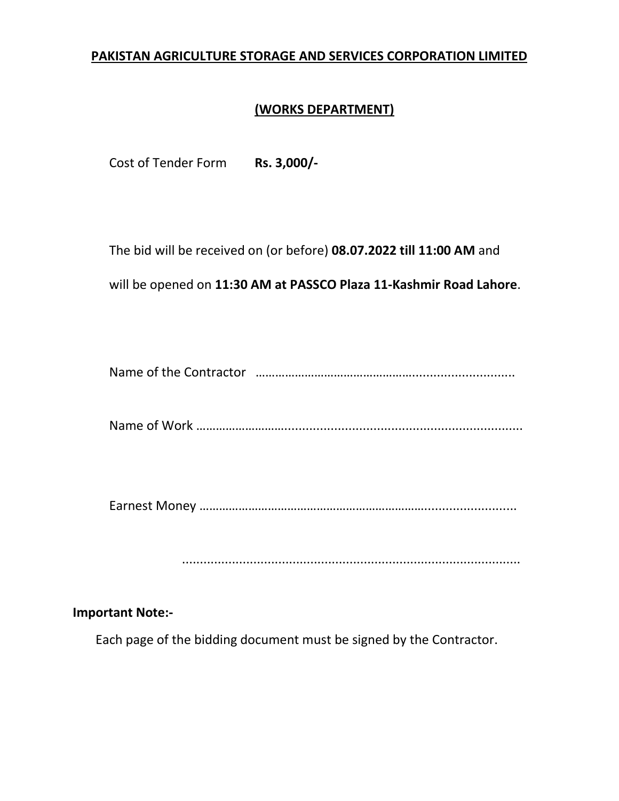# **PAKISTAN AGRICULTURE STORAGE AND SERVICES CORPORATION LIMITED**

# **(WORKS DEPARTMENT)**

Cost of Tender Form **Rs. 3,000/-**

The bid will be received on (or before) **08.07.2022 till 11:00 AM** and

will be opened on **11:30 AM at PASSCO Plaza 11-Kashmir Road Lahore**.

Name of the Contractor ………………………………………….............................

Name of Work ………………………...................................................................

Earnest Money ……………………………………………………………..........................

...............................................................................................

#### **Important Note:-**

Each page of the bidding document must be signed by the Contractor.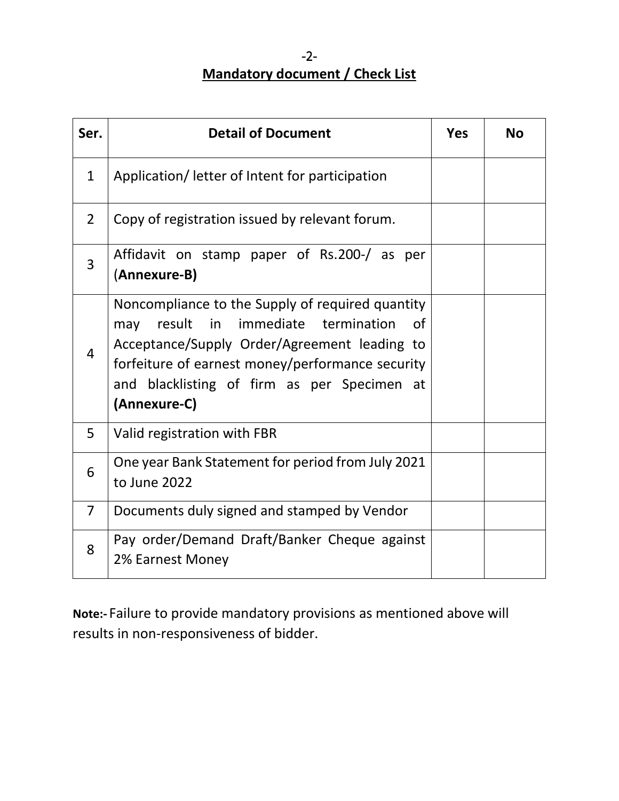# -2- **Mandatory document / Check List**

| Ser.           | <b>Detail of Document</b>                                                                                                                                                                                                                                              | <b>Yes</b> | <b>No</b> |
|----------------|------------------------------------------------------------------------------------------------------------------------------------------------------------------------------------------------------------------------------------------------------------------------|------------|-----------|
| $\mathbf{1}$   | Application/ letter of Intent for participation                                                                                                                                                                                                                        |            |           |
| $\overline{2}$ | Copy of registration issued by relevant forum.                                                                                                                                                                                                                         |            |           |
| 3              | Affidavit on stamp paper of Rs.200-/ as per<br>(Annexure-B)                                                                                                                                                                                                            |            |           |
| $\overline{4}$ | Noncompliance to the Supply of required quantity<br>in immediate termination<br>result<br>of<br>may<br>Acceptance/Supply Order/Agreement leading to<br>forfeiture of earnest money/performance security<br>and blacklisting of firm as per Specimen at<br>(Annexure-C) |            |           |
| 5              | Valid registration with FBR                                                                                                                                                                                                                                            |            |           |
| 6              | One year Bank Statement for period from July 2021<br>to June 2022                                                                                                                                                                                                      |            |           |
| $\overline{7}$ | Documents duly signed and stamped by Vendor                                                                                                                                                                                                                            |            |           |
| 8              | Pay order/Demand Draft/Banker Cheque against<br>2% Earnest Money                                                                                                                                                                                                       |            |           |

**Note:-** Failure to provide mandatory provisions as mentioned above will results in non-responsiveness of bidder.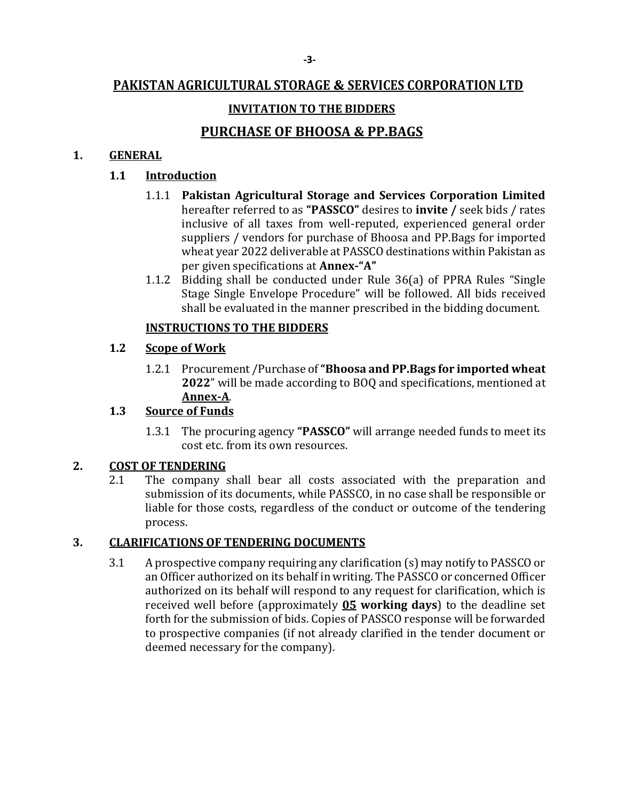# **PAKISTAN AGRICULTURAL STORAGE & SERVICES CORPORATION LTD**

# **INVITATION TO THE BIDDERS**

# **PURCHASE OF BHOOSA & PP.BAGS**

#### **1. GENERAL**

#### **1.1 Introduction**

- 1.1.1 **Pakistan Agricultural Storage and Services Corporation Limited**  hereafter referred to as **"PASSCO"** desires to **invite /** seek bids / rates inclusive of all taxes from well-reputed, experienced general order suppliers / vendors for purchase of Bhoosa and PP.Bags for imported wheat year 2022 deliverable at PASSCO destinations within Pakistan as per given specifications at **Annex-"A"**
- 1.1.2 Bidding shall be conducted under Rule 36(a) of PPRA Rules "Single Stage Single Envelope Procedure" will be followed. All bids received shall be evaluated in the manner prescribed in the bidding document.

#### **INSTRUCTIONS TO THE BIDDERS**

#### **1.2 Scope of Work**

1.2.1 Procurement /Purchase of **"Bhoosa and PP.Bags for imported wheat 2022**" will be made according to BOQ and specifications, mentioned at **Annex-A**.

# **1.3 Source of Funds**

1.3.1 The procuring agency **"PASSCO"** will arrange needed funds to meet its cost etc. from its own resources.

#### **2. COST OF TENDERING**

2.1 The company shall bear all costs associated with the preparation and submission of its documents, while PASSCO, in no case shall be responsible or liable for those costs, regardless of the conduct or outcome of the tendering process.

# **3. CLARIFICATIONS OF TENDERING DOCUMENTS**

3.1 A prospective company requiring any clarification (s) may notify to PASSCO or an Officer authorized on its behalf in writing. The PASSCO or concerned Officer authorized on its behalf will respond to any request for clarification, which is received well before (approximately **05 working days**) to the deadline set forth for the submission of bids. Copies of PASSCO response will be forwarded to prospective companies (if not already clarified in the tender document or deemed necessary for the company).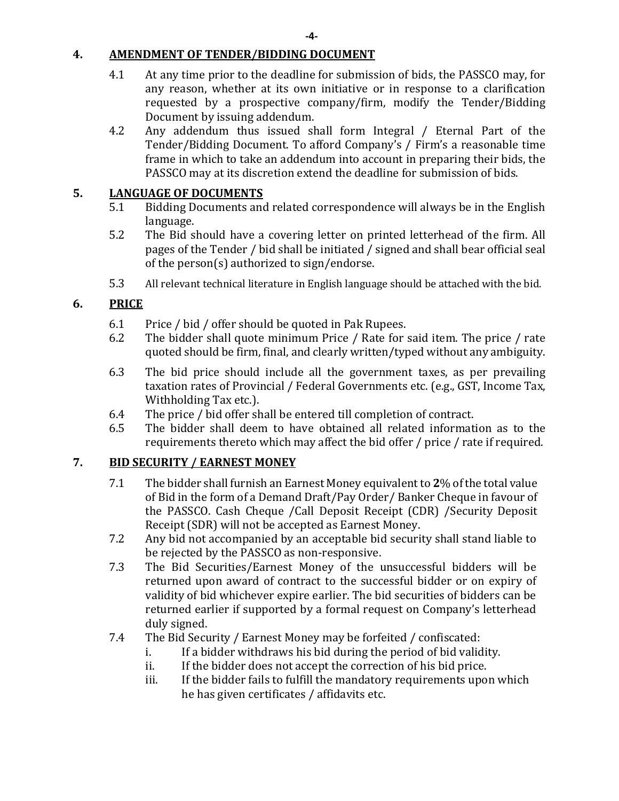#### **4. AMENDMENT OF TENDER/BIDDING DOCUMENT**

- 4.1 At any time prior to the deadline for submission of bids, the PASSCO may, for any reason, whether at its own initiative or in response to a clarification requested by a prospective company/firm, modify the Tender/Bidding Document by issuing addendum.
- 4.2 Any addendum thus issued shall form Integral / Eternal Part of the Tender/Bidding Document. To afford Company's / Firm's a reasonable time frame in which to take an addendum into account in preparing their bids, the PASSCO may at its discretion extend the deadline for submission of bids.

#### **5. LANGUAGE OF DOCUMENTS**

- 5.1 Bidding Documents and related correspondence will always be in the English language.
- 5.2 The Bid should have a covering letter on printed letterhead of the firm. All pages of the Tender / bid shall be initiated / signed and shall bear official seal of the person(s) authorized to sign/endorse.
- 5.3 All relevant technical literature in English language should be attached with the bid.

# **6. PRICE**

- 6.1 Price / bid / offer should be quoted in Pak Rupees.
- 6.2 The bidder shall quote minimum Price / Rate for said item. The price / rate quoted should be firm, final, and clearly written/typed without any ambiguity.
- 6.3 The bid price should include all the government taxes, as per prevailing taxation rates of Provincial / Federal Governments etc. (e.g., GST, Income Tax, Withholding Tax etc.).
- 6.4 The price / bid offer shall be entered till completion of contract.
- 6.5 The bidder shall deem to have obtained all related information as to the requirements thereto which may affect the bid offer / price / rate if required.

# **7. BID SECURITY / EARNEST MONEY**

- 7.1 The bidder shall furnish an Earnest Money equivalent to **2**% of the total value of Bid in the form of a Demand Draft/Pay Order/ Banker Cheque in favour of the PASSCO. Cash Cheque /Call Deposit Receipt (CDR) /Security Deposit Receipt (SDR) will not be accepted as Earnest Money.
- 7.2 Any bid not accompanied by an acceptable bid security shall stand liable to be rejected by the PASSCO as non-responsive.
- 7.3 The Bid Securities/Earnest Money of the unsuccessful bidders will be returned upon award of contract to the successful bidder or on expiry of validity of bid whichever expire earlier. The bid securities of bidders can be returned earlier if supported by a formal request on Company's letterhead duly signed.
- 7.4 The Bid Security / Earnest Money may be forfeited / confiscated:
	- i. If a bidder withdraws his bid during the period of bid validity.
	- ii. If the bidder does not accept the correction of his bid price.
	- iii. If the bidder fails to fulfill the mandatory requirements upon which he has given certificates / affidavits etc.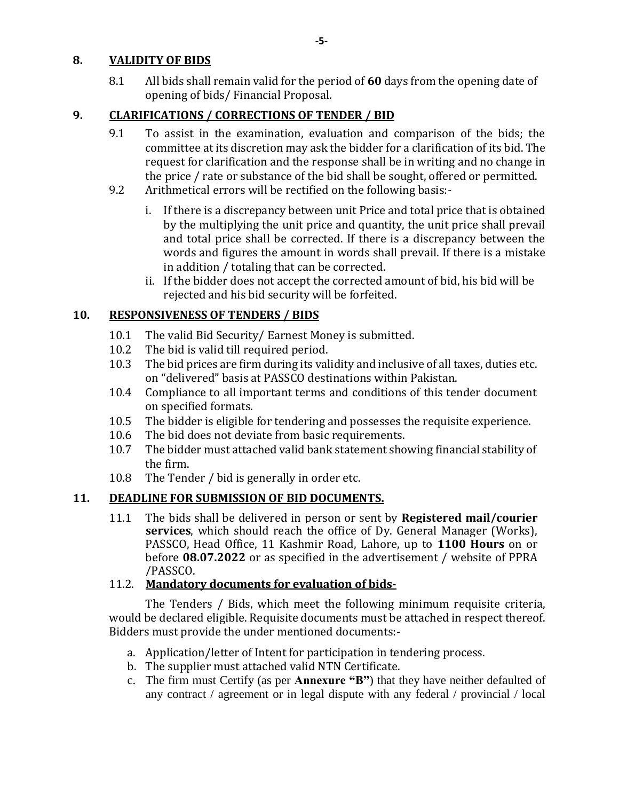#### **8. VALIDITY OF BIDS**

8.1 All bids shall remain valid for the period of **60** days from the opening date of opening of bids/ Financial Proposal.

# **9. CLARIFICATIONS / CORRECTIONS OF TENDER / BID**

- 9.1 To assist in the examination, evaluation and comparison of the bids; the committee at its discretion may ask the bidder for a clarification of its bid. The request for clarification and the response shall be in writing and no change in the price / rate or substance of the bid shall be sought, offered or permitted.
- 9.2 Arithmetical errors will be rectified on the following basis:
	- i. If there is a discrepancy between unit Price and total price that is obtained by the multiplying the unit price and quantity, the unit price shall prevail and total price shall be corrected. If there is a discrepancy between the words and figures the amount in words shall prevail. If there is a mistake in addition / totaling that can be corrected.
	- ii. If the bidder does not accept the corrected amount of bid, his bid will be rejected and his bid security will be forfeited.

# **10. RESPONSIVENESS OF TENDERS / BIDS**

- 10.1 The valid Bid Security/ Earnest Money is submitted.
- 10.2 The bid is valid till required period.
- 10.3 The bid prices are firm during its validity and inclusive of all taxes, duties etc. on "delivered" basis at PASSCO destinations within Pakistan.
- 10.4 Compliance to all important terms and conditions of this tender document on specified formats.
- 10.5 The bidder is eligible for tendering and possesses the requisite experience.
- 10.6 The bid does not deviate from basic requirements.
- 10.7 The bidder must attached valid bank statement showing financial stability of the firm.
- 10.8 The Tender / bid is generally in order etc.

# **11. DEADLINE FOR SUBMISSION OF BID DOCUMENTS.**

11.1 The bids shall be delivered in person or sent by **Registered mail/courier services**, which should reach the office of Dy. General Manager (Works), PASSCO, Head Office, 11 Kashmir Road, Lahore, up to **1100 Hours** on or before **08.07.2022** or as specified in the advertisement / website of PPRA /PASSCO.

# 11.2. **Mandatory documents for evaluation of bids-**

The Tenders / Bids, which meet the following minimum requisite criteria, would be declared eligible. Requisite documents must be attached in respect thereof. Bidders must provide the under mentioned documents:-

- a. Application/letter of Intent for participation in tendering process.
- b. The supplier must attached valid NTN Certificate.
- c. The firm must Certify (as per **Annexure "B"**) that they have neither defaulted of any contract / agreement or in legal dispute with any federal / provincial / local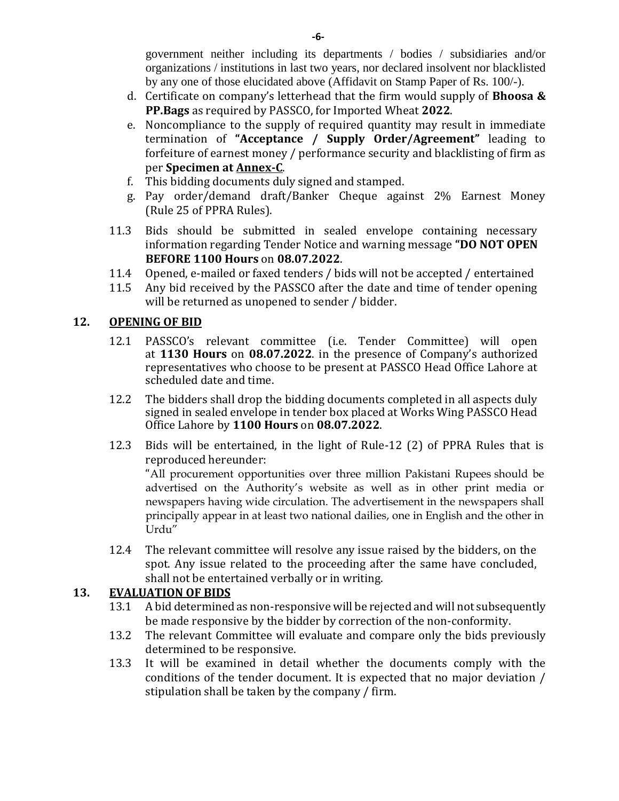government neither including its departments / bodies / subsidiaries and/or organizations / institutions in last two years, nor declared insolvent nor blacklisted by any one of those elucidated above (Affidavit on Stamp Paper of Rs. 100/-).

- d. Certificate on company's letterhead that the firm would supply of **Bhoosa & PP.Bags** as required by PASSCO, for Imported Wheat **2022**.
- e. Noncompliance to the supply of required quantity may result in immediate termination of **"Acceptance / Supply Order/Agreement"** leading to forfeiture of earnest money / performance security and blacklisting of firm as per **Specimen at Annex-C**.
- f. This bidding documents duly signed and stamped.
- g. Pay order/demand draft/Banker Cheque against 2% Earnest Money (Rule 25 of PPRA Rules).
- 11.3 Bids should be submitted in sealed envelope containing necessary information regarding Tender Notice and warning message **"DO NOT OPEN BEFORE 1100 Hours** on **08.07.2022**.
- 11.4 Opened, e-mailed or faxed tenders / bids will not be accepted / entertained
- 11.5 Any bid received by the PASSCO after the date and time of tender opening will be returned as unopened to sender / bidder.

#### **12. OPENING OF BID**

- 12.1 PASSCO's relevant committee (i.e. Tender Committee) will open at **1130 Hours** on **08.07.2022**. in the presence of Company's authorized representatives who choose to be present at PASSCO Head Office Lahore at scheduled date and time.
- 12.2 The bidders shall drop the bidding documents completed in all aspects duly signed in sealed envelope in tender box placed at Works Wing PASSCO Head Office Lahore by **1100 Hours** on **08.07.2022**.
- 12.3 Bids will be entertained, in the light of Rule-12 (2) of PPRA Rules that is reproduced hereunder:

"All procurement opportunities over three million Pakistani Rupees should be advertised on the Authority's website as well as in other print media or newspapers having wide circulation. The advertisement in the newspapers shall principally appear in at least two national dailies, one in English and the other in Urdu"

12.4 The relevant committee will resolve any issue raised by the bidders, on the spot. Any issue related to the proceeding after the same have concluded, shall not be entertained verbally or in writing.

#### **13. EVALUATION OF BIDS**

- 13.1 A bid determined as non-responsive will be rejected and will not subsequently be made responsive by the bidder by correction of the non-conformity.
- 13.2 The relevant Committee will evaluate and compare only the bids previously determined to be responsive.
- 13.3 It will be examined in detail whether the documents comply with the conditions of the tender document. It is expected that no major deviation / stipulation shall be taken by the company / firm.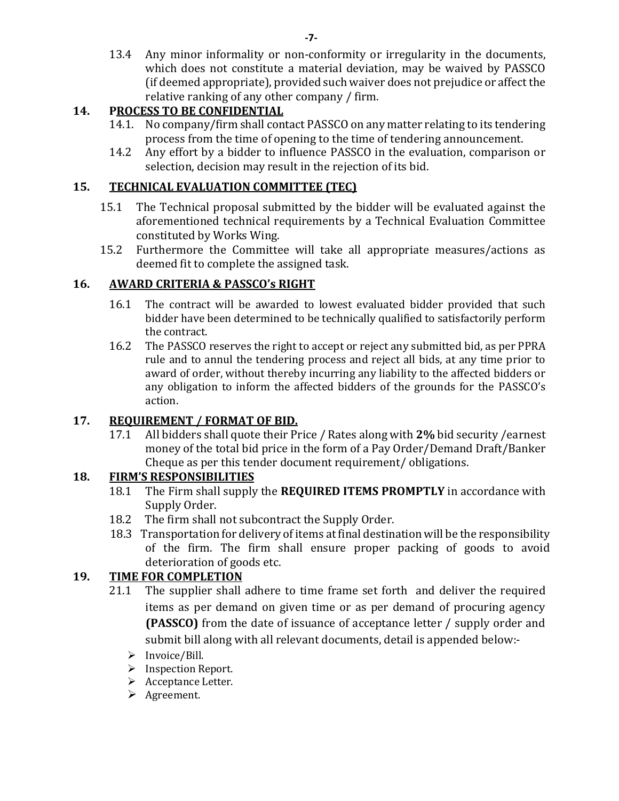13.4 Any minor informality or non-conformity or irregularity in the documents, which does not constitute a material deviation, may be waived by PASSCO (if deemed appropriate), provided such waiver does not prejudice or affect the relative ranking of any other company / firm.

# **14. PROCESS TO BE CONFIDENTIAL**

- 14.1. No company/firm shall contact PASSCO on any matter relating to its tendering process from the time of opening to the time of tendering announcement.
- 14.2 Any effort by a bidder to influence PASSCO in the evaluation, comparison or selection, decision may result in the rejection of its bid.

#### **15. TECHNICAL EVALUATION COMMITTEE (TEC)**

- 15.1 The Technical proposal submitted by the bidder will be evaluated against the aforementioned technical requirements by a Technical Evaluation Committee constituted by Works Wing.
- 15.2 Furthermore the Committee will take all appropriate measures/actions as deemed fit to complete the assigned task.

# **16. AWARD CRITERIA & PASSCO's RIGHT**

- 16.1 The contract will be awarded to lowest evaluated bidder provided that such bidder have been determined to be technically qualified to satisfactorily perform the contract.
- 16.2 The PASSCO reserves the right to accept or reject any submitted bid, as per PPRA rule and to annul the tendering process and reject all bids, at any time prior to award of order, without thereby incurring any liability to the affected bidders or any obligation to inform the affected bidders of the grounds for the PASSCO's action.

# **17. REQUIREMENT / FORMAT OF BID.**

17.1 All bidders shall quote their Price / Rates along with **2%** bid security /earnest money of the total bid price in the form of a Pay Order/Demand Draft/Banker Cheque as per this tender document requirement/ obligations.

# **18. FIRM'S RESPONSIBILITIES**

- 18.1 The Firm shall supply the **REQUIRED ITEMS PROMPTLY** in accordance with Supply Order.
- 18.2 The firm shall not subcontract the Supply Order.
- 18.3 Transportation for delivery of items at final destination will be the responsibility of the firm. The firm shall ensure proper packing of goods to avoid deterioration of goods etc.

# **19. TIME FOR COMPLETION**

- 21.1 The supplier shall adhere to time frame set forth and deliver the required items as per demand on given time or as per demand of procuring agency **(PASSCO)** from the date of issuance of acceptance letter / supply order and submit bill along with all relevant documents, detail is appended below:-
	- $\triangleright$  Invoice/Bill.
	- > Inspection Report.
	- $\triangleright$  Acceptance Letter.
	- Agreement.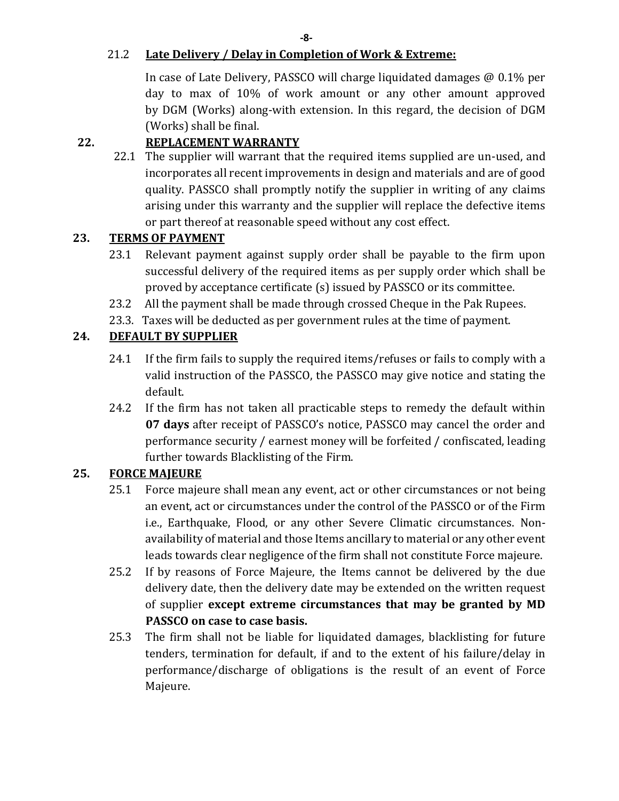**-8-**

#### 21.2 **Late Delivery / Delay in Completion of Work & Extreme:**

In case of Late Delivery, PASSCO will charge liquidated damages @ 0.1% per day to max of 10% of work amount or any other amount approved by DGM (Works) along-with extension. In this regard, the decision of DGM (Works) shall be final.

# **22. REPLACEMENT WARRANTY**

22.1 The supplier will warrant that the required items supplied are un-used, and incorporates all recent improvements in design and materials and are of good quality. PASSCO shall promptly notify the supplier in writing of any claims arising under this warranty and the supplier will replace the defective items or part thereof at reasonable speed without any cost effect.

# **23. TERMS OF PAYMENT**

- 23.1 Relevant payment against supply order shall be payable to the firm upon successful delivery of the required items as per supply order which shall be proved by acceptance certificate (s) issued by PASSCO or its committee.
- 23.2 All the payment shall be made through crossed Cheque in the Pak Rupees.
- 23.3. Taxes will be deducted as per government rules at the time of payment.

# **24. DEFAULT BY SUPPLIER**

- 24.1 If the firm fails to supply the required items/refuses or fails to comply with a valid instruction of the PASSCO, the PASSCO may give notice and stating the default.
- 24.2 If the firm has not taken all practicable steps to remedy the default within **07 days** after receipt of PASSCO's notice, PASSCO may cancel the order and performance security / earnest money will be forfeited / confiscated, leading further towards Blacklisting of the Firm.

# **25. FORCE MAJEURE**

- 25.1 Force majeure shall mean any event, act or other circumstances or not being an event, act or circumstances under the control of the PASSCO or of the Firm i.e., Earthquake, Flood, or any other Severe Climatic circumstances. Nonavailability of material and those Items ancillary to material or any other event leads towards clear negligence of the firm shall not constitute Force majeure.
- 25.2 If by reasons of Force Majeure, the Items cannot be delivered by the due delivery date, then the delivery date may be extended on the written request of supplier **except extreme circumstances that may be granted by MD PASSCO on case to case basis.**
- 25.3 The firm shall not be liable for liquidated damages, blacklisting for future tenders, termination for default, if and to the extent of his failure/delay in performance/discharge of obligations is the result of an event of Force Majeure.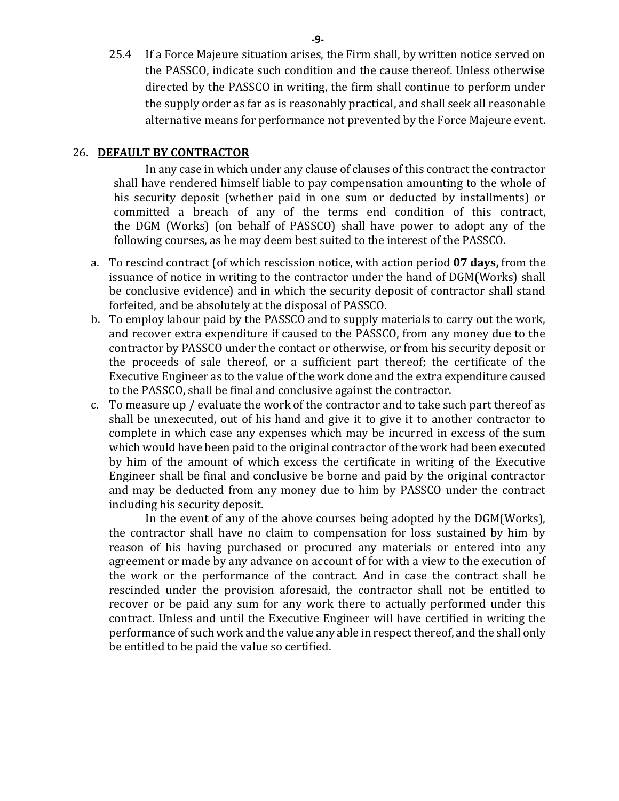25.4 If a Force Majeure situation arises, the Firm shall, by written notice served on the PASSCO, indicate such condition and the cause thereof. Unless otherwise directed by the PASSCO in writing, the firm shall continue to perform under the supply order as far as is reasonably practical, and shall seek all reasonable alternative means for performance not prevented by the Force Majeure event.

#### 26. **DEFAULT BY CONTRACTOR**

In any case in which under any clause of clauses of this contract the contractor shall have rendered himself liable to pay compensation amounting to the whole of his security deposit (whether paid in one sum or deducted by installments) or committed a breach of any of the terms end condition of this contract, the DGM (Works) (on behalf of PASSCO) shall have power to adopt any of the following courses, as he may deem best suited to the interest of the PASSCO.

- a. To rescind contract (of which rescission notice, with action period **07 days,** from the issuance of notice in writing to the contractor under the hand of DGM(Works) shall be conclusive evidence) and in which the security deposit of contractor shall stand forfeited, and be absolutely at the disposal of PASSCO.
- b. To employ labour paid by the PASSCO and to supply materials to carry out the work, and recover extra expenditure if caused to the PASSCO, from any money due to the contractor by PASSCO under the contact or otherwise, or from his security deposit or the proceeds of sale thereof, or a sufficient part thereof; the certificate of the Executive Engineer as to the value of the work done and the extra expenditure caused to the PASSCO, shall be final and conclusive against the contractor.
- c. To measure up / evaluate the work of the contractor and to take such part thereof as shall be unexecuted, out of his hand and give it to give it to another contractor to complete in which case any expenses which may be incurred in excess of the sum which would have been paid to the original contractor of the work had been executed by him of the amount of which excess the certificate in writing of the Executive Engineer shall be final and conclusive be borne and paid by the original contractor and may be deducted from any money due to him by PASSCO under the contract including his security deposit.

In the event of any of the above courses being adopted by the DGM(Works), the contractor shall have no claim to compensation for loss sustained by him by reason of his having purchased or procured any materials or entered into any agreement or made by any advance on account of for with a view to the execution of the work or the performance of the contract. And in case the contract shall be rescinded under the provision aforesaid, the contractor shall not be entitled to recover or be paid any sum for any work there to actually performed under this contract. Unless and until the Executive Engineer will have certified in writing the performance of such work and the value any able in respect thereof, and the shall only be entitled to be paid the value so certified.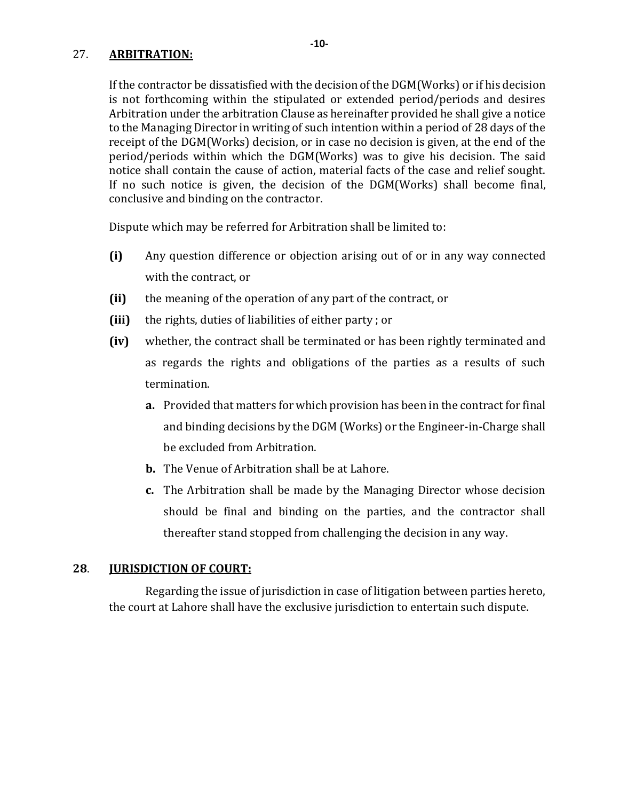#### 27. **ARBITRATION:**

If the contractor be dissatisfied with the decision of the DGM(Works) or if his decision is not forthcoming within the stipulated or extended period/periods and desires Arbitration under the arbitration Clause as hereinafter provided he shall give a notice to the Managing Director in writing of such intention within a period of 28 days of the receipt of the DGM(Works) decision, or in case no decision is given, at the end of the period/periods within which the DGM(Works) was to give his decision. The said notice shall contain the cause of action, material facts of the case and relief sought. If no such notice is given, the decision of the DGM(Works) shall become final, conclusive and binding on the contractor.

Dispute which may be referred for Arbitration shall be limited to:

- **(i)** Any question difference or objection arising out of or in any way connected with the contract, or
- **(ii)** the meaning of the operation of any part of the contract, or
- **(iii)** the rights, duties of liabilities of either party ; or
- **(iv)** whether, the contract shall be terminated or has been rightly terminated and as regards the rights and obligations of the parties as a results of such termination.
	- **a.** Provided that matters for which provision has been in the contract for final and binding decisions by the DGM (Works) or the Engineer-in-Charge shall be excluded from Arbitration.
	- **b.** The Venue of Arbitration shall be at Lahore.
	- **c.** The Arbitration shall be made by the Managing Director whose decision should be final and binding on the parties, and the contractor shall thereafter stand stopped from challenging the decision in any way.

#### **28**. **JURISDICTION OF COURT:**

Regarding the issue of jurisdiction in case of litigation between parties hereto, the court at Lahore shall have the exclusive jurisdiction to entertain such dispute.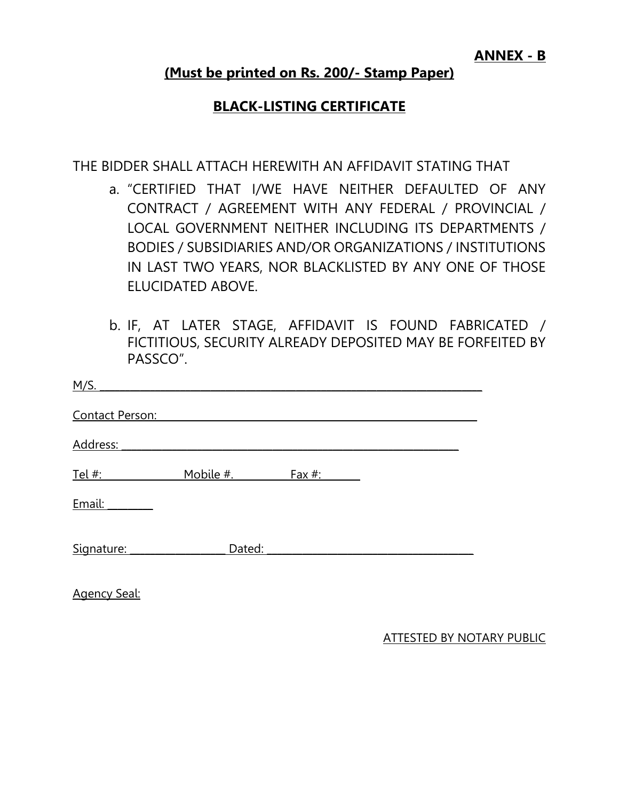**ANNEX - B**

# **(Must be printed on Rs. 200/- Stamp Paper)**

# **BLACK-LISTING CERTIFICATE**

THE BIDDER SHALL ATTACH HEREWITH AN AFFIDAVIT STATING THAT

- a. "CERTIFIED THAT I/WE HAVE NEITHER DEFAULTED OF ANY CONTRACT / AGREEMENT WITH ANY FEDERAL / PROVINCIAL / LOCAL GOVERNMENT NEITHER INCLUDING ITS DEPARTMENTS / BODIES / SUBSIDIARIES AND/OR ORGANIZATIONS / INSTITUTIONS IN LAST TWO YEARS, NOR BLACKLISTED BY ANY ONE OF THOSE ELUCIDATED ABOVE.
- b. IF, AT LATER STAGE, AFFIDAVIT IS FOUND FABRICATED / FICTITIOUS, SECURITY ALREADY DEPOSITED MAY BE FORFEITED BY PASSCO".

| <u>M/S.</u>     |           |        |  |
|-----------------|-----------|--------|--|
| Contact Person: |           |        |  |
| Address:        |           |        |  |
| Tel #:          | Mobile #. | Fax #: |  |
| Email:          |           |        |  |
| Signature:      | Dated:    |        |  |
|                 |           |        |  |

Agency Seal:

ATTESTED BY NOTARY PUBLIC